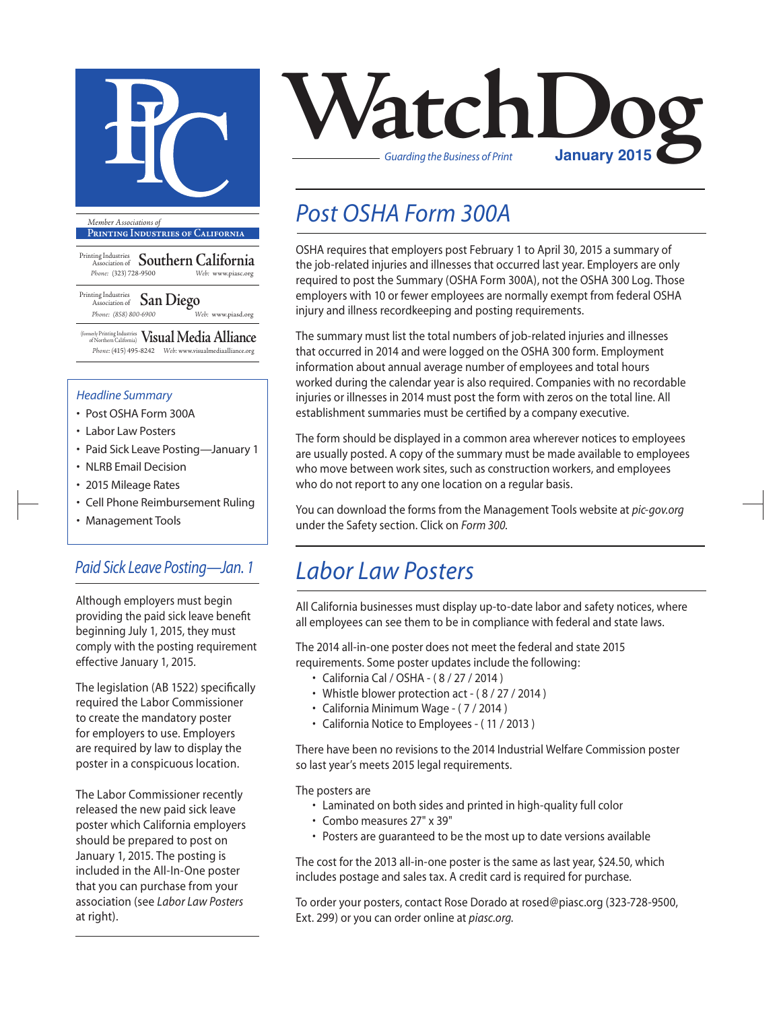

**Printing Industries of California**

Printing Industries Association of **Southern California** *Phone:* (323) 728-9500 *Web:* www.piasc.org

Printing Industries Association of **San Diego** *Phone: (858) 800-6900 Web:* www.piasd.org

(formerly Printing Industries of Northern California) **Visual Media Alliance** *Phone:* (415) 495-8242 *Web:* www.visualmediaalliance.org

#### *Headline Summary*

- Post OSHA Form 300A
- Labor Law Posters
- Paid Sick Leave Posting—January 1
- NLRB Email Decision
- 2015 Mileage Rates
- Cell Phone Reimbursement Ruling
- Management Tools

### *Paid Sick Leave Posting—Jan. 1*

Although employers must begin providing the paid sick leave benefit beginning July 1, 2015, they must comply with the posting requirement effective January 1, 2015.

The legislation (AB 1522) specifically required the Labor Commissioner to create the mandatory poster for employers to use. Employers are required by law to display the poster in a conspicuous location.

The Labor Commissioner recently released the new paid sick leave poster which California employers should be prepared to post on January 1, 2015. The posting is included in the All-In-One poster that you can purchase from your association (see *Labor Law Posters*  at right).



## *Post OSHA Form 300A*

OSHA requires that employers post February 1 to April 30, 2015 a summary of the job-related injuries and illnesses that occurred last year. Employers are only required to post the Summary (OSHA Form 300A), not the OSHA 300 Log. Those employers with 10 or fewer employees are normally exempt from federal OSHA injury and illness recordkeeping and posting requirements.

The summary must list the total numbers of job-related injuries and illnesses that occurred in 2014 and were logged on the OSHA 300 form. Employment information about annual average number of employees and total hours worked during the calendar year is also required. Companies with no recordable injuries or illnesses in 2014 must post the form with zeros on the total line. All establishment summaries must be certified by a company executive.

The form should be displayed in a common area wherever notices to employees are usually posted. A copy of the summary must be made available to employees who move between work sites, such as construction workers, and employees who do not report to any one location on a regular basis.

You can download the forms from the Management Tools website at *pic-gov.org* under the Safety section. Click on *Form 300*.

### *Labor Law Posters*

All California businesses must display up-to-date labor and safety notices, where all employees can see them to be in compliance with federal and state laws.

The 2014 all-in-one poster does not meet the federal and state 2015 requirements. Some poster updates include the following:

- California Cal / OSHA ( 8 / 27 / 2014 )
- Whistle blower protection act ( 8 / 27 / 2014 )
- California Minimum Wage ( 7 / 2014 )
- California Notice to Employees ( 11 / 2013 )

There have been no revisions to the 2014 Industrial Welfare Commission poster so last year's meets 2015 legal requirements.

The posters are

- Laminated on both sides and printed in high-quality full color
- Combo measures 27" x 39"
- Posters are guaranteed to be the most up to date versions available

The cost for the 2013 all-in-one poster is the same as last year, \$24.50, which includes postage and sales tax. A credit card is required for purchase.

To order your posters, contact Rose Dorado at rosed@piasc.org (323-728-9500, Ext. 299) or you can order online at *piasc.org.*